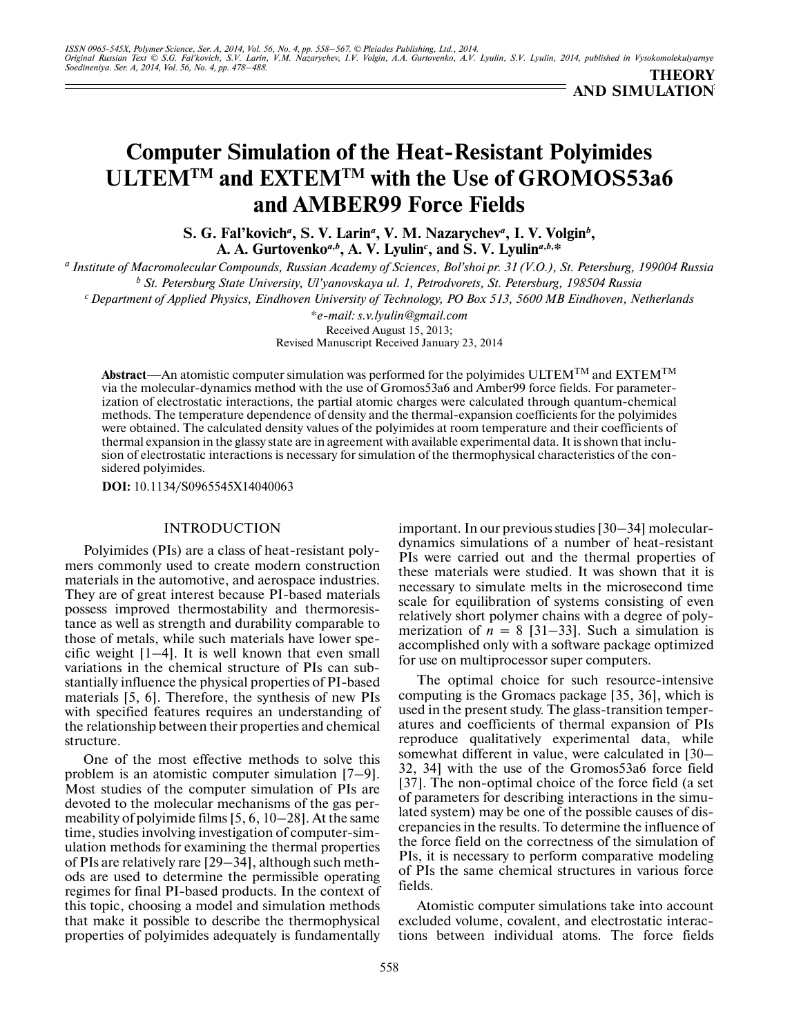# **Computer Simulation of the Heat-Resistant Polyimides ULTEMTM and EXTEMTM with the Use of GROMOS53a6 and AMBER99 Force Fields**

**S. G. Fal'kovich***<sup>a</sup>* **, S. V. Larin***<sup>a</sup>* **, V. M. Nazarychev***<sup>a</sup>* **, I. V. Volgin***<sup>b</sup>* **,** A. A. Gurtovenko<sup>a,b</sup>, A. V. Lyulin<sup>c</sup>, and S. V. Lyulin<sup>a,b,\*</sup>

*a Institute of Macromolecular Compounds, Russian Academy of Sciences, Bol'shoi pr. 31 (V.O.), St. Petersburg, 199004 Russia b St. Petersburg State University, Ul'yanovskaya ul. 1, Petrodvorets, St. Petersburg, 198504 Russia*

*c Department of Applied Physics, Eindhoven University of Technology, PO Box 513, 5600 MB Eindhoven, Netherlands*

*\*e-mail: s.v.lyulin@gmail.com*

Received August 15, 2013; Revised Manuscript Received January 23, 2014

**Abstract**—An atomistic computer simulation was performed for the polyimides ULTEMTM and EXTEMTM via the molecular-dynamics method with the use of Gromos53a6 and Amber99 force fields. For parameter ization of electrostatic interactions, the partial atomic charges were calculated through quantum-chemical methods. The temperature dependence of density and the thermal-expansion coefficients for the polyimides were obtained. The calculated density values of the polyimides at room temperature and their coefficients of thermal expansion in the glassy state are in agreement with available experimental data. It is shown that inclu sion of electrostatic interactions is necessary for simulation of the thermophysical characteristics of the con sidered polyimides.

**DOI:** 10.1134/S0965545X14040063

### INTRODUCTION

Polyimides (PIs) are a class of heat-resistant poly mers commonly used to create modern construction materials in the automotive, and aerospace industries. They are of great interest because PI-based materials possess improved thermostability and thermoresis tance as well as strength and durability comparable to those of metals, while such materials have lower spe cific weight [1–4]. It is well known that even small variations in the chemical structure of PIs can sub stantially influence the physical properties of PI-based materials [5, 6]. Therefore, the synthesis of new PIs with specified features requires an understanding of the relationship between their properties and chemical structure.

One of the most effective methods to solve this problem is an atomistic computer simulation [7–9]. Most studies of the computer simulation of PIs are devoted to the molecular mechanisms of the gas per meability of polyimide films [5, 6, 10–28]. At the same time, studies involving investigation of computer-sim ulation methods for examining the thermal properties of PIs are relatively rare [29–34], although such meth ods are used to determine the permissible operating regimes for final PI-based products. In the context of this topic, choosing a model and simulation methods that make it possible to describe the thermophysical properties of polyimides adequately is fundamentally

important. In our previous studies [30–34] molecular dynamics simulations of a number of heat-resistant PIs were carried out and the thermal properties of these materials were studied. It was shown that it is necessary to simulate melts in the microsecond time scale for equilibration of systems consisting of even relatively short polymer chains with a degree of poly merization of  $n = 8$  [31–33]. Such a simulation is accomplished only with a software package optimized for use on multiprocessor super computers.

The optimal choice for such resource-intensive computing is the Gromacs package [35, 36], which is used in the present study. The glass-transition temper atures and coefficients of thermal expansion of PIs reproduce qualitatively experimental data, while somewhat different in value, were calculated in [30– 32, 34] with the use of the Gromos53a6 force field [37]. The non-optimal choice of the force field (a set of parameters for describing interactions in the simu lated system) may be one of the possible causes of dis crepancies in the results. To determine the influence of the force field on the correctness of the simulation of PIs, it is necessary to perform comparative modeling of PIs the same chemical structures in various force fields.

Atomistic computer simulations take into account excluded volume, covalent, and electrostatic interac tions between individual atoms. The force fields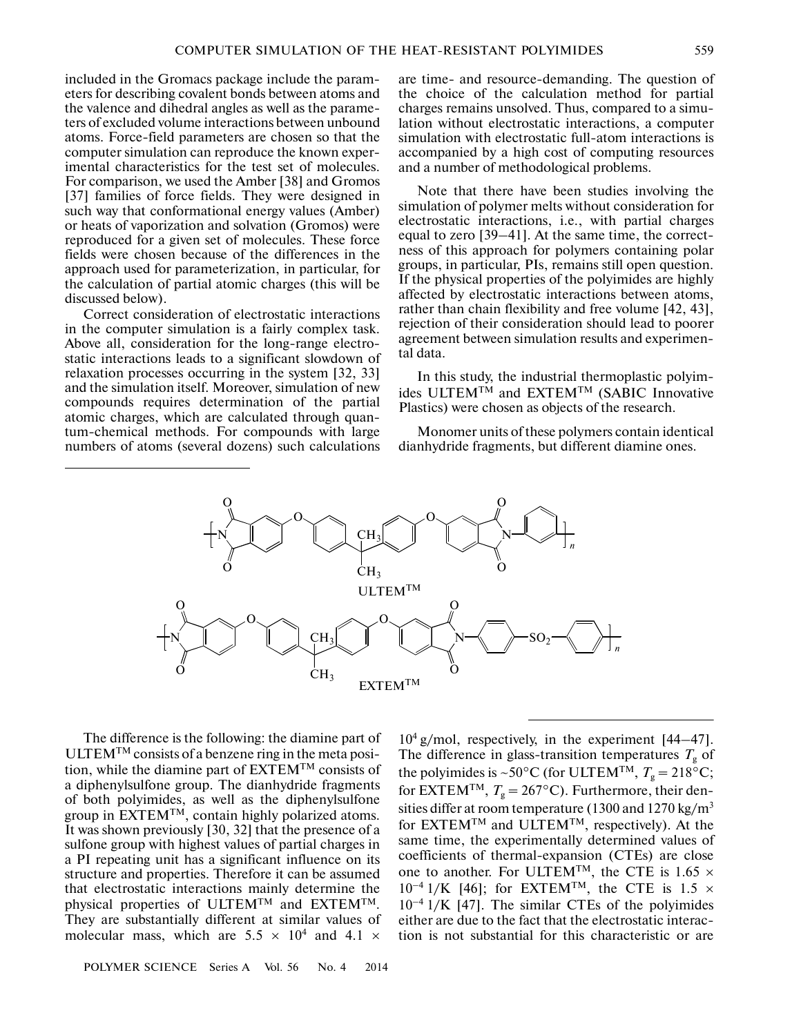included in the Gromacs package include the param eters for describing covalent bonds between atoms and the valence and dihedral angles as well as the parame ters of excluded volume interactions between unbound atoms. Force-field parameters are chosen so that the computer simulation can reproduce the known exper imental characteristics for the test set of molecules. For comparison, we used the Amber [38] and Gromos [37] families of force fields. They were designed in such way that conformational energy values (Amber) or heats of vaporization and solvation (Gromos) were reproduced for a given set of molecules. These force fields were chosen because of the differences in the approach used for parameterization, in particular, for the calculation of partial atomic charges (this will be discussed below).

Correct consideration of electrostatic interactions in the computer simulation is a fairly complex task. Above all, consideration for the long-range electro static interactions leads to a significant slowdown of relaxation processes occurring in the system [32, 33] and the simulation itself. Moreover, simulation of new compounds requires determination of the partial atomic charges, which are calculated through quan tum-chemical methods. For compounds with large numbers of atoms (several dozens) such calculations

are time- and resource-demanding. The question of the choice of the calculation method for partial charges remains unsolved. Thus, compared to a simu lation without electrostatic interactions, a computer simulation with electrostatic full-atom interactions is accompanied by a high cost of computing resources and a number of methodological problems.

Note that there have been studies involving the simulation of polymer melts without consideration for electrostatic interactions, i.e., with partial charges equal to zero [39–41]. At the same time, the correct ness of this approach for polymers containing polar groups, in particular, PIs, remains still open question. If the physical properties of the polyimides are highly affected by electrostatic interactions between atoms, rather than chain flexibility and free volume [42, 43], rejection of their consideration should lead to poorer agreement between simulation results and experimen tal data.

In this study, the industrial thermoplastic polyim ides ULTEMTM and EXTEMTM (SABIC Innovative Plastics) were chosen as objects of the research.

Monomer units of these polymers contain identical dianhydride fragments, but different diamine ones.



The difference is the following: the diamine part of ULTEM<sup>TM</sup> consists of a benzene ring in the meta position, while the diamine part of  $EXTEM^{TM}$  consists of a diphenylsulfone group. The dianhydride fragments of both polyimides, as well as the diphenylsulfone group in EXTEMTM, contain highly polarized atoms. It was shown previously [30, 32] that the presence of a sulfone group with highest values of partial charges in a PI repeating unit has a significant influence on its structure and properties. Therefore it can be assumed that electrostatic interactions mainly determine the physical properties of ULTEMTM and EXTEMTM. They are substantially different at similar values of molecular mass, which are  $5.5 \times 10^4$  and  $4.1 \times$ 

POLYMER SCIENCE Series A Vol. 56 No. 4 2014

104 g/mol, respectively, in the experiment [44–47]. The difference in glass-transition temperatures  $T_{\text{g}}$  of the polyimides is ~50°C (for ULTEM<sup>TM</sup>,  $T_g = 218$ °C; for EXTEM<sup>TM</sup>,  $T_g = 267$ °C). Furthermore, their densities differ at room temperature (1300 and 1270 kg/m<sup>3</sup> for  $EXTEM^{TM}$  and  $ULTEM^{TM}$ , respectively). At the same time, the experimentally determined values of coefficients of thermal-expansion (CTEs) are close one to another. For ULTEM<sup>TM</sup>, the CTE is  $1.65 \times 10^{-4}$  1/K [46]; for EXTEM<sup>TM</sup>, the CTE is  $1.5 \times$  $10^{-4}$  1/K [46]; for EXTEM<sup>TM</sup>, the CTE is 1.5  $\times$  10<sup>-4</sup> 1/K [47]. The similar CTEs of the polyimides either are due to the fact that the electrostatic interac tion is not substantial for this characteristic or are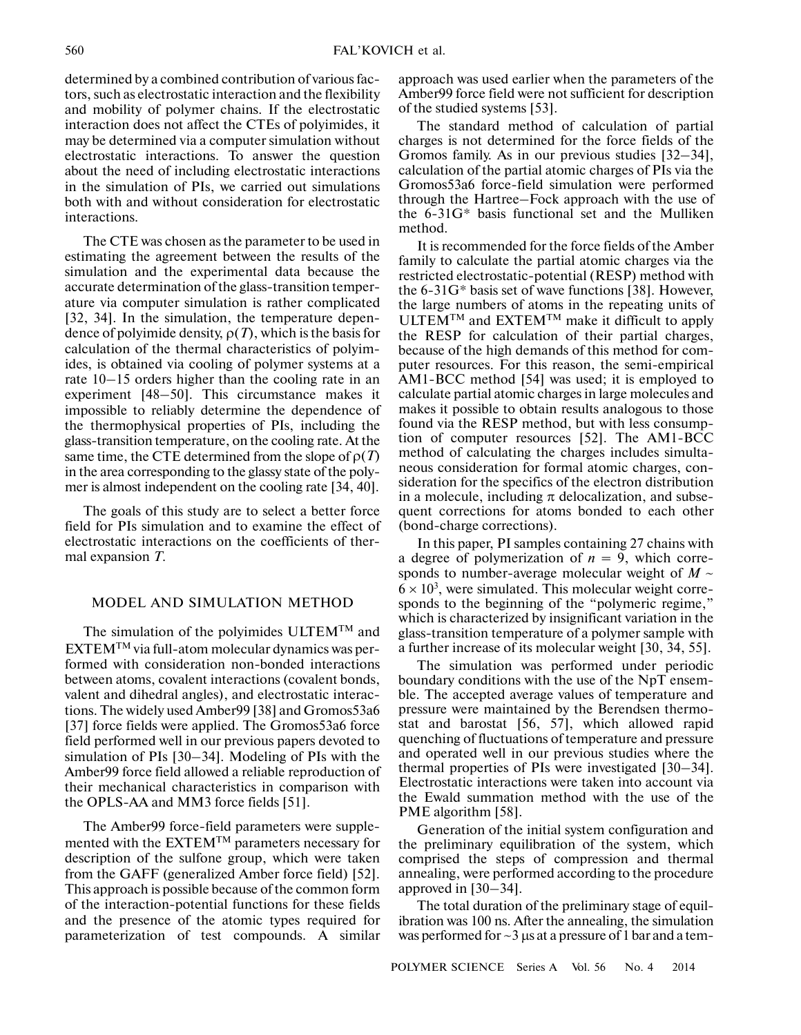determined by a combined contribution of various fac tors, such as electrostatic interaction and the flexibility and mobility of polymer chains. If the electrostatic interaction does not affect the CTEs of polyimides, it may be determined via a computer simulation without electrostatic interactions. To answer the question about the need of including electrostatic interactions in the simulation of PIs, we carried out simulations both with and without consideration for electrostatic interactions.

The CTE was chosen as the parameter to be used in estimating the agreement between the results of the simulation and the experimental data because the accurate determination of the glass-transition temper ature via computer simulation is rather complicated [32, 34]. In the simulation, the temperature depen dence of polyimide density, ρ(*T*), which is the basis for calculation of the thermal characteristics of polyim ides, is obtained via cooling of polymer systems at a rate 10–15 orders higher than the cooling rate in an experiment [48–50]. This circumstance makes it impossible to reliably determine the dependence of the thermophysical properties of PIs, including the glass-transition temperature, on the cooling rate. At the same time, the CTE determined from the slope of  $\rho(T)$ in the area corresponding to the glassy state of the poly mer is almost independent on the cooling rate [34, 40].

The goals of this study are to select a better force field for PIs simulation and to examine the effect of electrostatic interactions on the coefficients of ther mal expansion *T*.

# MODEL AND SIMULATION METHOD

The simulation of the polyimides ULTEMTM and EXTEMTM via full-atom molecular dynamics was per formed with consideration non-bonded interactions between atoms, covalent interactions (covalent bonds, valent and dihedral angles), and electrostatic interac tions. The widely used Amber99 [38] and Gromos53a6 [37] force fields were applied. The Gromos53a6 force field performed well in our previous papers devoted to simulation of PIs [30–34]. Modeling of PIs with the Amber99 force field allowed a reliable reproduction of their mechanical characteristics in comparison with the OPLS-AA and MM3 force fields [51].

The Amber99 force-field parameters were supple mented with the EXTEMTM parameters necessary for description of the sulfone group, which were taken from the GAFF (generalized Amber force field) [52]. This approach is possible because of the common form of the interaction-potential functions for these fields and the presence of the atomic types required for parameterization of test compounds. A similar approach was used earlier when the parameters of the Amber99 force field were not sufficient for description of the studied systems [53].

The standard method of calculation of partial charges is not determined for the force fields of the Gromos family. As in our previous studies [32–34], calculation of the partial atomic charges of PIs via the Gromos53a6 force-field simulation were performed through the Hartree–Fock approach with the use of the 6-31G\* basis functional set and the Mulliken method.

It is recommended for the force fields of the Amber family to calculate the partial atomic charges via the restricted electrostatic-potential (RESP) method with the 6-31G\* basis set of wave functions [38]. However, the large numbers of atoms in the repeating units of ULTEMTM and EXTEMTM make it difficult to apply the RESP for calculation of their partial charges, because of the high demands of this method for com puter resources. For this reason, the semi-empirical AM1-BCC method [54] was used; it is employed to calculate partial atomic charges in large molecules and makes it possible to obtain results analogous to those found via the RESP method, but with less consump tion of computer resources [52]. The AM1-BCC method of calculating the charges includes simulta neous consideration for formal atomic charges, con sideration for the specifics of the electron distribution in a molecule, including  $\pi$  delocalization, and subsequent corrections for atoms bonded to each other (bond-charge corrections).

In this paper, PI samples containing 27 chains with a degree of polymerization of  $n = 9$ , which corresponds to number-average molecular weight of  $M \sim$  $6 \times 10^3$ , were simulated. This molecular weight corresponds to the beginning of the "polymeric regime," which is characterized by insignificant variation in the glass-transition temperature of a polymer sample with a further increase of its molecular weight [30, 34, 55].

The simulation was performed under periodic boundary conditions with the use of the NpT ensem ble. The accepted average values of temperature and pressure were maintained by the Berendsen thermo stat and barostat [56, 57], which allowed rapid quenching of fluctuations of temperature and pressure and operated well in our previous studies where the thermal properties of PIs were investigated [30–34]. Electrostatic interactions were taken into account via the Ewald summation method with the use of the PME algorithm [58].

Generation of the initial system configuration and the preliminary equilibration of the system, which comprised the steps of compression and thermal annealing, were performed according to the procedure approved in [30–34].

The total duration of the preliminary stage of equil ibration was 100 ns. After the annealing, the simulation was performed for  $\sim$ 3 μs at a pressure of 1 bar and a tem-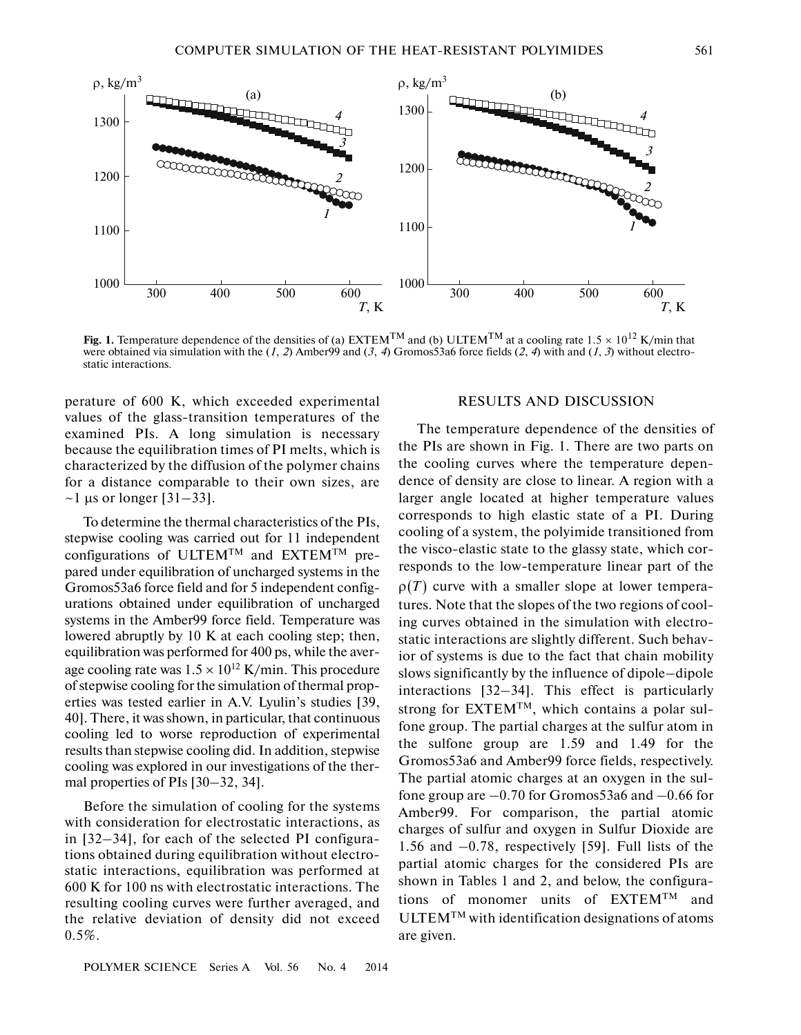

**Fig. 1.** Temperature dependence of the densities of (a) EXTEM<sup>TM</sup> and (b) ULTEM<sup>TM</sup> at a cooling rate 1.5  $\times$  10<sup>12</sup> K/min that were obtained via simulation with the (*1*, *2*) Amber99 and (*3*, *4*) Gromos53a6 force fields (*2*, *4*) with and (*1*, *3*) without electro static interactions.

perature of 600 K, which exceeded experimental values of the glass-transition temperatures of the examined PIs. A long simulation is necessary because the equilibration times of PI melts, which is characterized by the diffusion of the polymer chains for a distance comparable to their own sizes, are  $\sim$ 1 μs or longer [31–33].

To determine the thermal characteristics of the PIs, stepwise cooling was carried out for 11 independent configurations of ULTEM<sup>TM</sup> and EXTEM<sup>TM</sup> prepared under equilibration of uncharged systems in the Gromos53a6 force field and for 5 independent config urations obtained under equilibration of uncharged systems in the Amber99 force field. Temperature was lowered abruptly by 10 K at each cooling step; then, equilibration was performed for 400 ps, while the aver age cooling rate was  $1.5 \times 10^{12}$  K/min. This procedure of stepwise cooling for the simulation of thermal prop erties was tested earlier in A.V. Lyulin's studies [39, 40]. There, it was shown, in particular, that continuous cooling led to worse reproduction of experimental results than stepwise cooling did. In addition, stepwise cooling was explored in our investigations of the ther mal properties of PIs [30–32, 34].

Before the simulation of cooling for the systems with consideration for electrostatic interactions, as in [32–34], for each of the selected PI configura tions obtained during equilibration without electro static interactions, equilibration was performed at 600 K for 100 ns with electrostatic interactions. The resulting cooling curves were further averaged, and the relative deviation of density did not exceed  $0.5\%$ .

### RESULTS AND DISCUSSION

The temperature dependence of the densities of the PIs are shown in Fig. 1. There are two parts on the cooling curves where the temperature depen dence of density are close to linear. A region with a larger angle located at higher temperature values corresponds to high elastic state of a PI. During cooling of a system, the polyimide transitioned from the visco-elastic state to the glassy state, which cor responds to the low-temperature linear part of the  $\rho(T)$  curve with a smaller slope at lower temperatures. Note that the slopes of the two regions of cool ing curves obtained in the simulation with electro static interactions are slightly different. Such behav ior of systems is due to the fact that chain mobility slows significantly by the influence of dipole–dipole interactions [32–34]. This effect is particularly strong for  $EXTEM^{TM}$ , which contains a polar sulfone group. The partial charges at the sulfur atom in the sulfone group are 1.59 and 1.49 for the Gromos53a6 and Amber99 force fields, respectively. The partial atomic charges at an oxygen in the sul fone group are  $-0.70$  for Gromos53a6 and  $-0.66$  for Amber99. For comparison, the partial atomic charges of sulfur and oxygen in Sulfur Dioxide are 1.56 and –0.78, respectively [59]. Full lists of the partial atomic charges for the considered PIs are shown in Tables 1 and 2, and below, the configura tions of monomer units of EXTEMTM and ULTEMTM with identification designations of atoms are given.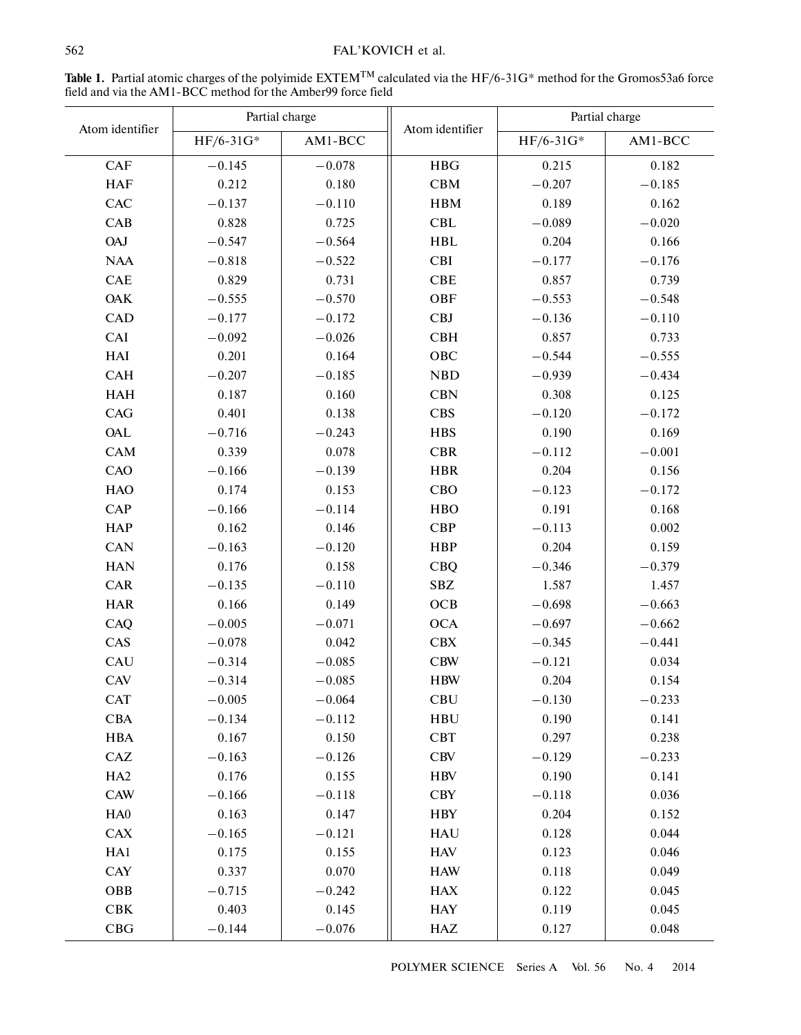# FAL'KOVICH et al.

| Atom identifier | Partial charge |          |                 | Partial charge |          |
|-----------------|----------------|----------|-----------------|----------------|----------|
|                 | $HF/6-31G*$    | AM1-BCC  | Atom identifier | $HF/6-31G*$    | AM1-BCC  |
| <b>CAF</b>      | $-0.145$       | $-0.078$ | <b>HBG</b>      | 0.215          | 0.182    |
| <b>HAF</b>      | 0.212          | 0.180    | CBM             | $-0.207$       | $-0.185$ |
| CAC             | $-0.137$       | $-0.110$ | <b>HBM</b>      | 0.189          | 0.162    |
| CAB             | 0.828          | 0.725    | <b>CBL</b>      | $-0.089$       | $-0.020$ |
| <b>OAJ</b>      | $-0.547$       | $-0.564$ | <b>HBL</b>      | 0.204          | 0.166    |
| <b>NAA</b>      | $-0.818$       | $-0.522$ | <b>CBI</b>      | $-0.177$       | $-0.176$ |
| <b>CAE</b>      | 0.829          | 0.731    | <b>CBE</b>      | 0.857          | 0.739    |
| <b>OAK</b>      | $-0.555$       | $-0.570$ | OBF             | $-0.553$       | $-0.548$ |
| <b>CAD</b>      | $-0.177$       | $-0.172$ | <b>CBJ</b>      | $-0.136$       | $-0.110$ |
| CAI             | $-0.092$       | $-0.026$ | <b>CBH</b>      | 0.857          | 0.733    |
| HAI             | 0.201          | 0.164    | OBC             | $-0.544$       | $-0.555$ |
| <b>CAH</b>      | $-0.207$       | $-0.185$ | <b>NBD</b>      | $-0.939$       | $-0.434$ |
| <b>HAH</b>      | 0.187          | 0.160    | <b>CBN</b>      | 0.308          | 0.125    |
| CAG             | 0.401          | 0.138    | CBS             | $-0.120$       | $-0.172$ |
| OAL             | $-0.716$       | $-0.243$ | <b>HBS</b>      | 0.190          | 0.169    |
| <b>CAM</b>      | 0.339          | 0.078    | <b>CBR</b>      | $-0.112$       | $-0.001$ |
| CAO             | $-0.166$       | $-0.139$ | <b>HBR</b>      | 0.204          | 0.156    |
| <b>HAO</b>      | 0.174          | 0.153    | CBO             | $-0.123$       | $-0.172$ |
| CAP             | $-0.166$       | $-0.114$ | <b>HBO</b>      | 0.191          | 0.168    |
| <b>HAP</b>      | 0.162          | 0.146    | <b>CBP</b>      | $-0.113$       | 0.002    |
| CAN             | $-0.163$       | $-0.120$ | <b>HBP</b>      | 0.204          | 0.159    |
| <b>HAN</b>      | 0.176          | 0.158    | <b>CBQ</b>      | $-0.346$       | $-0.379$ |
| <b>CAR</b>      | $-0.135$       | $-0.110$ | <b>SBZ</b>      | 1.587          | 1.457    |
| <b>HAR</b>      | 0.166          | 0.149    | OCB             | $-0.698$       | $-0.663$ |
| CAQ             | $-0.005$       | $-0.071$ | <b>OCA</b>      | $-0.697$       | $-0.662$ |
| CAS             | $-0.078$       | 0.042    | <b>CBX</b>      | $-0.345$       | $-0.441$ |
| CAU             | $-0.314$       | $-0.085$ | <b>CBW</b>      | $-0.121$       | 0.034    |
| <b>CAV</b>      | $-0.314$       | $-0.085$ | <b>HBW</b>      | 0.204          | 0.154    |
| <b>CAT</b>      | $-0.005$       | $-0.064$ | <b>CBU</b>      | $-0.130$       | $-0.233$ |
| CBA             | $-0.134$       | $-0.112$ | <b>HBU</b>      | 0.190          | 0.141    |
| <b>HBA</b>      | 0.167          | 0.150    | CBT             | 0.297          | 0.238    |
| CAZ             | $-0.163$       | $-0.126$ | CBV             | $-0.129$       | $-0.233$ |
| HA <sub>2</sub> | 0.176          | 0.155    | <b>HBV</b>      | 0.190          | 0.141    |
| <b>CAW</b>      | $-0.166$       | $-0.118$ | CBY             | $-0.118$       | 0.036    |
| HA0             | 0.163          | 0.147    | <b>HBY</b>      | 0.204          | 0.152    |
| <b>CAX</b>      | $-0.165$       | $-0.121$ | <b>HAU</b>      | 0.128          | 0.044    |
| HA1             | 0.175          | 0.155    | <b>HAV</b>      | 0.123          | 0.046    |
| <b>CAY</b>      | 0.337          | 0.070    | <b>HAW</b>      | 0.118          | 0.049    |
| OBB             | $-0.715$       | $-0.242$ | <b>HAX</b>      | 0.122          | 0.045    |
| ${\bf CBK}$     | 0.403          | 0.145    | <b>HAY</b>      | 0.119          | 0.045    |
| CBG             | $-0.144$       | $-0.076$ | <b>HAZ</b>      | 0.127          | 0.048    |

Table 1. Partial atomic charges of the polyimide EXTEM<sup>TM</sup> calculated via the HF/6-31G\* method for the Gromos53a6 force field and via the AM1-BCC method for the Amber99 force field

POLYMER SCIENCE Series A Vol. 56 No. 4 2014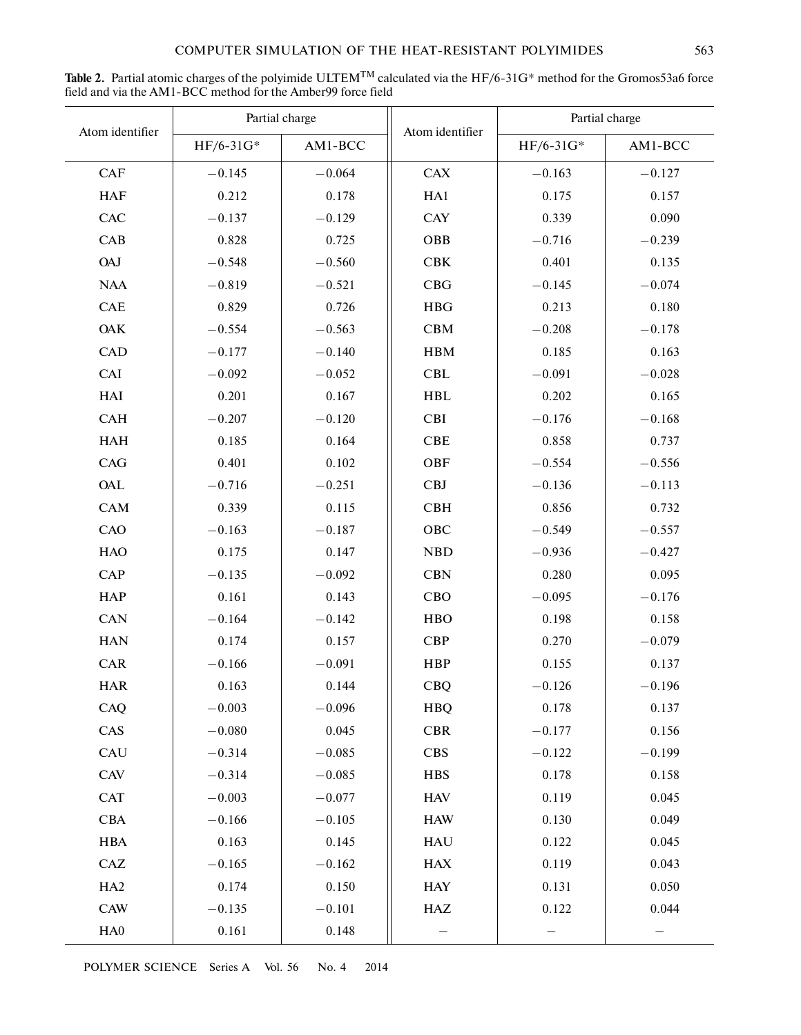| Atom identifier | Partial charge |          |                 | Partial charge |          |
|-----------------|----------------|----------|-----------------|----------------|----------|
|                 | $HF/6-31G*$    | AM1-BCC  | Atom identifier | HF/6-31G*      | AM1-BCC  |
| CAF             | $-0.145$       | $-0.064$ | <b>CAX</b>      | $-0.163$       | $-0.127$ |
| <b>HAF</b>      | 0.212          | 0.178    | HA1             | 0.175          | 0.157    |
| <b>CAC</b>      | $-0.137$       | $-0.129$ | <b>CAY</b>      | 0.339          | 0.090    |
| CAB             | 0.828          | 0.725    | <b>OBB</b>      | $-0.716$       | $-0.239$ |
| <b>OAJ</b>      | $-0.548$       | $-0.560$ | <b>CBK</b>      | 0.401          | 0.135    |
| <b>NAA</b>      | $-0.819$       | $-0.521$ | CBG             | $-0.145$       | $-0.074$ |
| CAE             | 0.829          | 0.726    | <b>HBG</b>      | 0.213          | 0.180    |
| <b>OAK</b>      | $-0.554$       | $-0.563$ | <b>CBM</b>      | $-0.208$       | $-0.178$ |
| <b>CAD</b>      | $-0.177$       | $-0.140$ | <b>HBM</b>      | 0.185          | 0.163    |
| CAI             | $-0.092$       | $-0.052$ | CBL             | $-0.091$       | $-0.028$ |
| HAI             | 0.201          | 0.167    | <b>HBL</b>      | 0.202          | 0.165    |
| <b>CAH</b>      | $-0.207$       | $-0.120$ | <b>CBI</b>      | $-0.176$       | $-0.168$ |
| <b>HAH</b>      | 0.185          | 0.164    | CBE             | 0.858          | 0.737    |
| CAG             | 0.401          | 0.102    | OBF             | $-0.554$       | $-0.556$ |
| <b>OAL</b>      | $-0.716$       | $-0.251$ | <b>CBJ</b>      | $-0.136$       | $-0.113$ |
| CAM             | 0.339          | 0.115    | <b>CBH</b>      | 0.856          | 0.732    |
| CAO             | $-0.163$       | $-0.187$ | OBC             | $-0.549$       | $-0.557$ |
| <b>HAO</b>      | 0.175          | 0.147    | <b>NBD</b>      | $-0.936$       | $-0.427$ |
| CAP             | $-0.135$       | $-0.092$ | <b>CBN</b>      | 0.280          | 0.095    |
| <b>HAP</b>      | 0.161          | 0.143    | CBO             | $-0.095$       | $-0.176$ |
| <b>CAN</b>      | $-0.164$       | $-0.142$ | <b>HBO</b>      | 0.198          | 0.158    |
| <b>HAN</b>      | 0.174          | 0.157    | <b>CBP</b>      | 0.270          | $-0.079$ |
| <b>CAR</b>      | $-0.166$       | $-0.091$ | <b>HBP</b>      | 0.155          | 0.137    |
| <b>HAR</b>      | 0.163          | 0.144    | <b>CBQ</b>      | $-0.126$       | $-0.196$ |
| CAQ             | $-0.003$       | $-0.096$ | <b>HBQ</b>      | 0.178          | 0.137    |
| CAS             | $-0.080$       | 0.045    | <b>CBR</b>      | $-0.177$       | 0.156    |
| CAU             | $-0.314$       | $-0.085$ | CBS             | $-0.122$       | $-0.199$ |
| CAV             | $-0.314$       | $-0.085$ | <b>HBS</b>      | 0.178          | 0.158    |
| <b>CAT</b>      | $-0.003$       | $-0.077$ | <b>HAV</b>      | 0.119          | 0.045    |
| <b>CBA</b>      | $-0.166$       | $-0.105$ | <b>HAW</b>      | 0.130          | 0.049    |
| <b>HBA</b>      | 0.163          | 0.145    | <b>HAU</b>      | 0.122          | 0.045    |
| CAZ             | $-0.165$       | $-0.162$ | <b>HAX</b>      | 0.119          | 0.043    |
| HA <sub>2</sub> | 0.174          | 0.150    | <b>HAY</b>      | 0.131          | 0.050    |
| <b>CAW</b>      | $-0.135$       | $-0.101$ | HAZ             | 0.122          | 0.044    |
| HA0             | 0.161          | 0.148    |                 |                |          |

Table 2. Partial atomic charges of the polyimide ULTEM<sup>TM</sup> calculated via the HF/6-31G\* method for the Gromos53a6 force field and via the AM1-BCC method for the Amber99 force field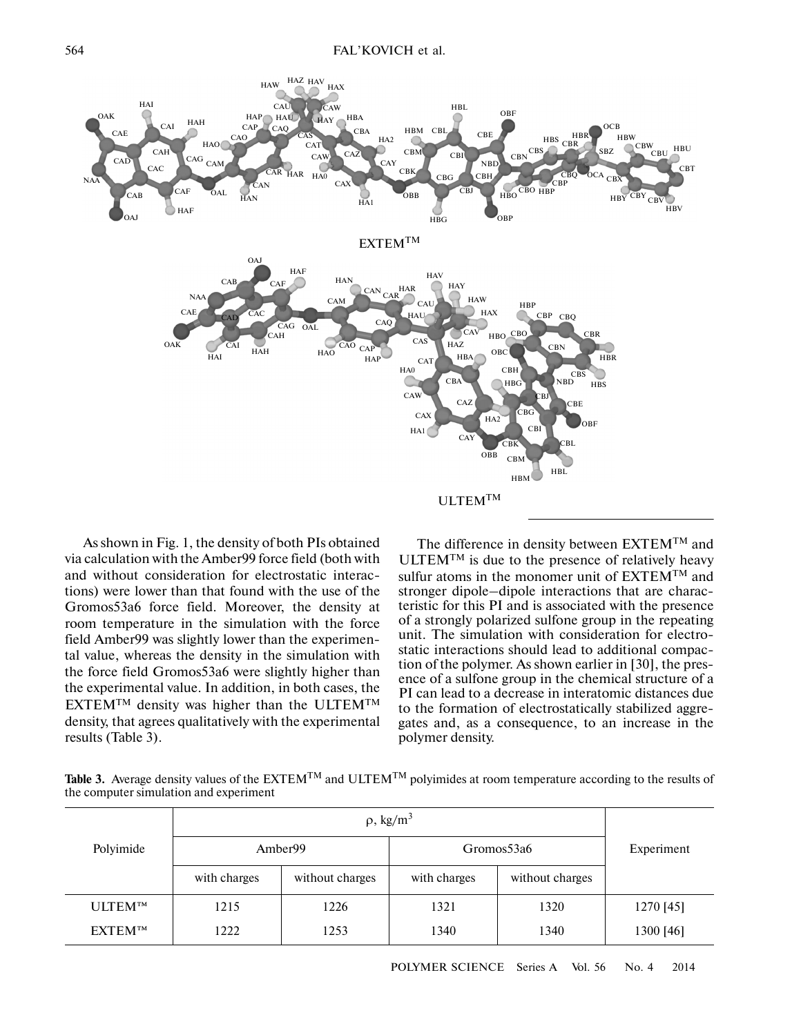

As shown in Fig. 1, the density of both PIs obtained via calculation with the Amber99 force field (both with and without consideration for electrostatic interac tions) were lower than that found with the use of the Gromos53a6 force field. Moreover, the density at room temperature in the simulation with the force field Amber99 was slightly lower than the experimen tal value, whereas the density in the simulation with the force field Gromos53a6 were slightly higher than the experimental value. In addition, in both cases, the  $EXTEM^{TM}$  density was higher than the ULTEM<sup>TM</sup> density, that agrees qualitatively with the experimental results (Table 3).

The difference in density between EXTEMTM and  $ULTEM<sup>TM</sup>$  is due to the presence of relatively heavy sulfur atoms in the monomer unit of  $EXTEM^{TM}$  and stronger dipole–dipole interactions that are charac teristic for this PI and is associated with the presence of a strongly polarized sulfone group in the repeating unit. The simulation with consideration for electro static interactions should lead to additional compac tion of the polymer. As shown earlier in [30], the pres ence of a sulfone group in the chemical structure of a PI can lead to a decrease in interatomic distances due to the formation of electrostatically stabilized aggre gates and, as a consequence, to an increase in the polymer density.

**Table 3.** Average density values of the EXTEM<sup>TM</sup> and ULTEM<sup>TM</sup> polyimides at room temperature according to the results of the computer simulation and experiment

| Polyimide      |              |                 |              |                 |            |
|----------------|--------------|-----------------|--------------|-----------------|------------|
|                | Amber99      |                 | Gromos53a6   |                 | Experiment |
|                | with charges | without charges | with charges | without charges |            |
| <b>ULTEMTM</b> | 1215         | 1226            | 1321         | 1320            | 1270 [45]  |
| <b>EXTEM™</b>  | 1222         | 1253            | 1340         | 1340            | 1300 [46]  |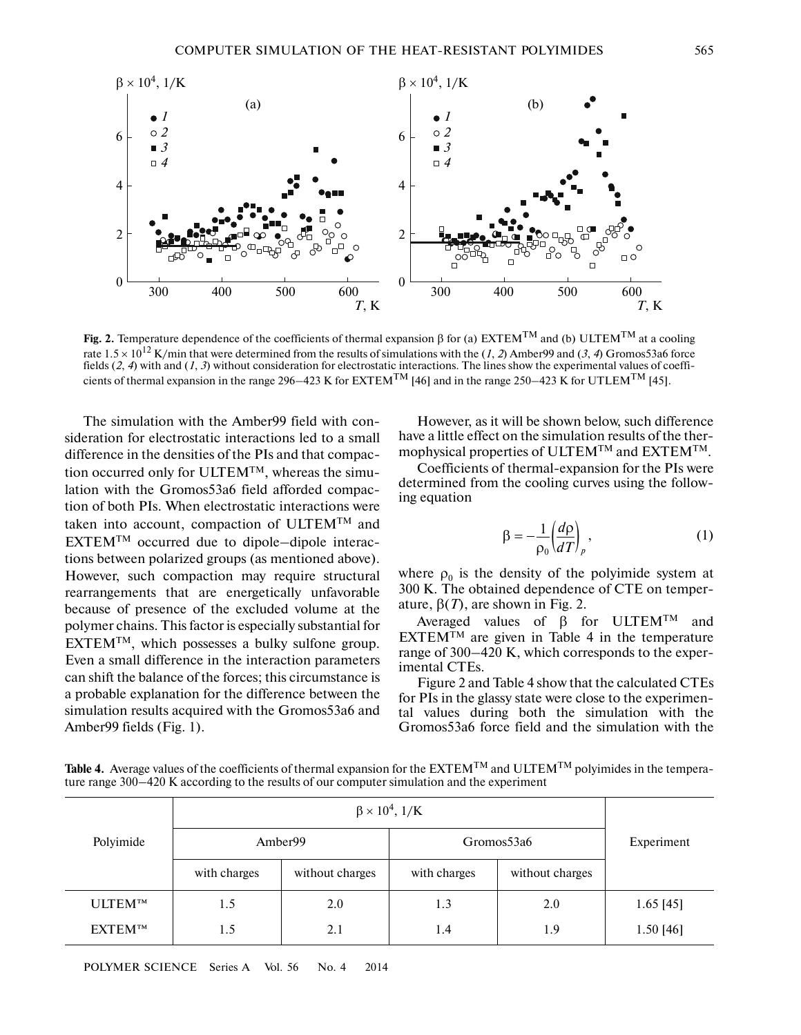

**Fig. 2.** Temperature dependence of the coefficients of thermal expansion β for (a) EXTEM<sup>TM</sup> and (b) ULTEM<sup>TM</sup> at a cooling rate  $1.5 \times 10^{12}$  K/min that were determined from the results of simulations with the (*1*, *2*) Amber99 and (*3*, *4*) Gromos53a6 force fields (*2*, *4*) with and (*1*, *3*) without consideration for electrostatic interactions. The lines show the experimental values of coeffi cients of thermal expansion in the range 296–423 K for EXTEM<sup>TM</sup> [46] and in the range 250–423 K for UTLEM<sup>TM</sup> [45].

The simulation with the Amber99 field with con sideration for electrostatic interactions led to a small difference in the densities of the PIs and that compac tion occurred only for ULTEM<sup>TM</sup>, whereas the simulation with the Gromos53a6 field afforded compac tion of both PIs. When electrostatic interactions were taken into account, compaction of ULTEMTM and EXTEMTM occurred due to dipole–dipole interactions between polarized groups (as mentioned above). However, such compaction may require structural rearrangements that are energetically unfavorable because of presence of the excluded volume at the polymer chains. This factor is especially substantial for EXTEMTM, which possesses a bulky sulfone group. Even a small difference in the interaction parameters can shift the balance of the forces; this circumstance is a probable explanation for the difference between the simulation results acquired with the Gromos53a6 and Amber99 fields (Fig. 1).

However, as it will be shown below, such difference have a little effect on the simulation results of the ther mophysical properties of ULTEMTM and EXTEMTM.

Coefficients of thermal-expansion for the PIs were determined from the cooling curves using the follow ing equation

$$
\beta = -\frac{1}{\rho_0} \left( \frac{d\rho}{dT} \right)_p, \tag{1}
$$

where  $\rho_0$  is the density of the polyimide system at 300 K. The obtained dependence of CTE on temper ature,  $β(T)$ , are shown in Fig. 2.

Averaged values of  $β$  for ULTEM<sup>TM</sup> and  $EXTEM^{TM}$  are given in Table 4 in the temperature range of 300–420 K, which corresponds to the exper imental CTEs.

Figure 2 and Table 4 show that the calculated CTEs for PIs in the glassy state were close to the experimen tal values during both the simulation with the Gromos53a6 force field and the simulation with the

**Table 4.** Average values of the coefficients of thermal expansion for the  $\text{EXTEM}^{\text{TM}}$  and  $\text{ULTEM}^{\text{TM}}$  polyimides in the temperature range 300–420 K according to the results of our computer simulation and the experiment

| Polyimide      |              |                 |              |                 |             |
|----------------|--------------|-----------------|--------------|-----------------|-------------|
|                | Amber99      |                 | Gromos53a6   |                 | Experiment  |
|                | with charges | without charges | with charges | without charges |             |
| <b>ULTEMTM</b> | 1.5          | 2.0             | 1.3          | 2.0             | $1.65$ [45] |
| <b>EXTEMTM</b> | 1.5          | 2.1             | 1.4          | 1.9             | $1.50$ [46] |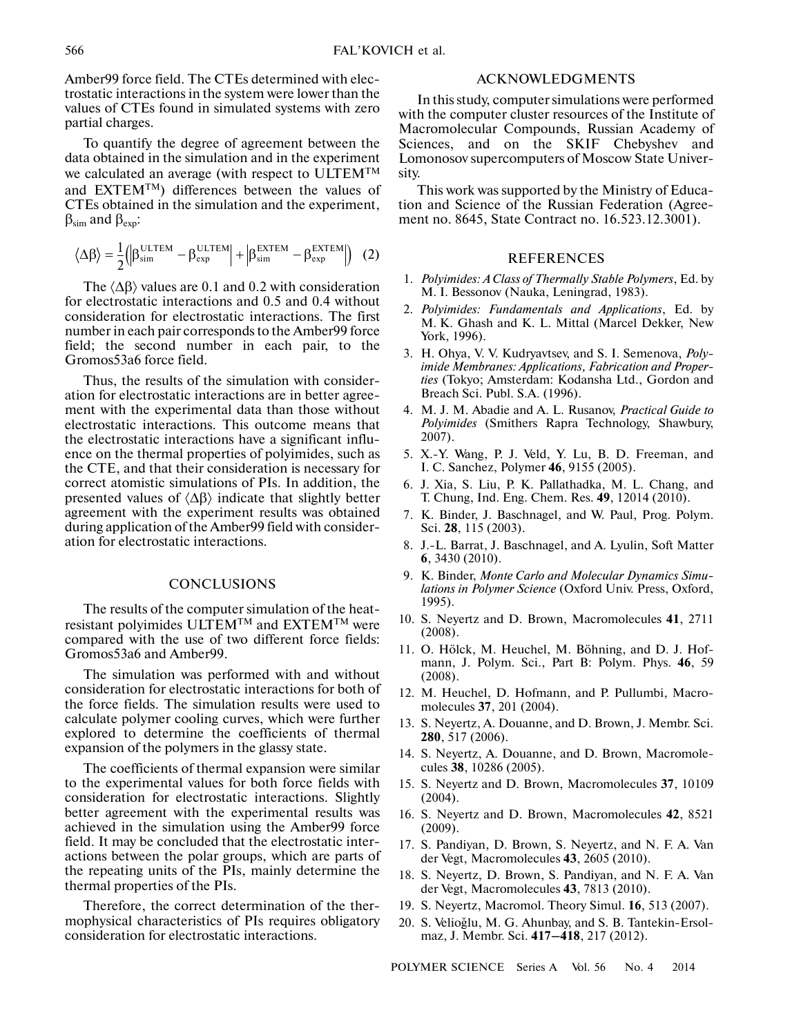Amber99 force field. The CTEs determined with elec trostatic interactions in the system were lower than the values of CTEs found in simulated systems with zero partial charges.

To quantify the degree of agreement between the data obtained in the simulation and in the experiment we calculated an average (with respect to ULTEMTM and  $EXTEM^{TM}$ ) differences between the values of CTEs obtained in the simulation and the experiment,  $β<sub>sim</sub>$  and  $β<sub>exp</sub>$ :

$$
\left\langle \Delta \beta \right\rangle = \frac{1}{2} \Big( \Big| \beta_{\rm sim}^{\rm ULTEM} - \beta_{\rm exp}^{\rm ULTEM} \Big| + \Big| \beta_{\rm sim}^{\rm EXTEM} - \beta_{\rm exp}^{\rm EXTEM} \Big| \Big) \quad (2)
$$

The  $\langle \Delta \beta \rangle$  values are 0.1 and 0.2 with consideration for electrostatic interactions and 0.5 and 0.4 without consideration for electrostatic interactions. The first number in each pair corresponds to the Amber99 force field; the second number in each pair, to the Gromos53a6 force field.

Thus, the results of the simulation with consider ation for electrostatic interactions are in better agree ment with the experimental data than those without electrostatic interactions. This outcome means that the electrostatic interactions have a significant influ ence on the thermal properties of polyimides, such as the CTE, and that their consideration is necessary for correct atomistic simulations of PIs. In addition, the presented values of  $\langle \Delta \beta \rangle$  indicate that slightly better agreement with the experiment results was obtained during application of the Amber99 field with consider ation for electrostatic interactions.

#### **CONCLUSIONS**

The results of the computer simulation of the heat resistant polyimides ULTEM<sup>TM</sup> and EXTEM<sup>TM</sup> were compared with the use of two different force fields: Gromos53a6 and Amber99.

The simulation was performed with and without consideration for electrostatic interactions for both of the force fields. The simulation results were used to calculate polymer cooling curves, which were further explored to determine the coefficients of thermal expansion of the polymers in the glassy state.

The coefficients of thermal expansion were similar to the experimental values for both force fields with consideration for electrostatic interactions. Slightly better agreement with the experimental results was achieved in the simulation using the Amber99 force field. It may be concluded that the electrostatic inter actions between the polar groups, which are parts of the repeating units of the PIs, mainly determine the thermal properties of the PIs.

Therefore, the correct determination of the ther mophysical characteristics of PIs requires obligatory consideration for electrostatic interactions.

# ACKNOWLEDGMENTS

In this study, computer simulations were performed with the computer cluster resources of the Institute of Macromolecular Compounds, Russian Academy of Sciences, and on the SKIF Chebyshev and Lomonosov supercomputers of Moscow State Univer sity.

This work was supported by the Ministry of Educa tion and Science of the Russian Federation (Agree ment no. 8645, State Contract no. 16.523.12.3001).

#### REFERENCES

- 1. *Polyimides: A Class of Thermally Stable Polymers*, Ed. by M. I. Bessonov (Nauka, Leningrad, 1983).
- 2. *Polyimides: Fundamentals and Applications*, Ed. by M. K. Ghash and K. L. Mittal (Marcel Dekker, New York, 1996).
- 3. H. Ohya, V. V. Kudryavtsev, and S. I. Semenova, *Poly imide Membranes: Applications, Fabrication and Proper ties* (Tokyo; Amsterdam: Kodansha Ltd., Gordon and Breach Sci. Publ. S.A. (1996).
- 4. M. J. M. Abadie and A. L. Rusanov, *Practical Guide to Polyimides* (Smithers Rapra Technology, Shawbury, 2007).
- 5. X.-Y. Wang, P. J. Veld, Y. Lu, B. D. Freeman, and I. C. Sanchez, Polymer **46**, 9155 (2005).
- 6. J. Xia, S. Liu, P. K. Pallathadka, M. L. Chang, and T. Chung, Ind. Eng. Chem. Res. **49**, 12014 (2010).
- 7. K. Binder, J. Baschnagel, and W. Paul, Prog. Polym. Sci. **28**, 115 (2003).
- 8. J.-L. Barrat, J. Baschnagel, and A. Lyulin, Soft Matter **6**, 3430 (2010).
- 9. K. Binder, *Monte Carlo and Molecular Dynamics Simu lations in Polymer Science* (Oxford Univ. Press, Oxford, 1995).
- 10. S. Neyertz and D. Brown, Macromolecules **41**, 2711 (2008).
- 11. O. Hölck, M. Heuchel, M. Böhning, and D. J. Hof mann, J. Polym. Sci., Part B: Polym. Phys. **46**, 59 (2008).
- 12. M. Heuchel, D. Hofmann, and P. Pullumbi, Macro molecules **37**, 201 (2004).
- 13. S. Neyertz, A. Douanne, and D. Brown, J. Membr. Sci. **280**, 517 (2006).
- 14. S. Neyertz, A. Douanne, and D. Brown, Macromole cules **38**, 10286 (2005).
- 15. S. Neyertz and D. Brown, Macromolecules **37**, 10109 (2004).
- 16. S. Neyertz and D. Brown, Macromolecules **42**, 8521 (2009).
- 17. S. Pandiyan, D. Brown, S. Neyertz, and N. F. A. Van der Vegt, Macromolecules **43**, 2605 (2010).
- 18. S. Neyertz, D. Brown, S. Pandiyan, and N. F. A. Van der Vegt, Macromolecules **43**, 7813 (2010).
- 19. S. Neyertz, Macromol. Theory Simul. **16**, 513 (2007).
- 20. S. Velioğlu, M. G. Ahunbay, and S. B. Tantekin-Ersolmaz, J. Membr. Sci. **417–418**, 217 (2012).